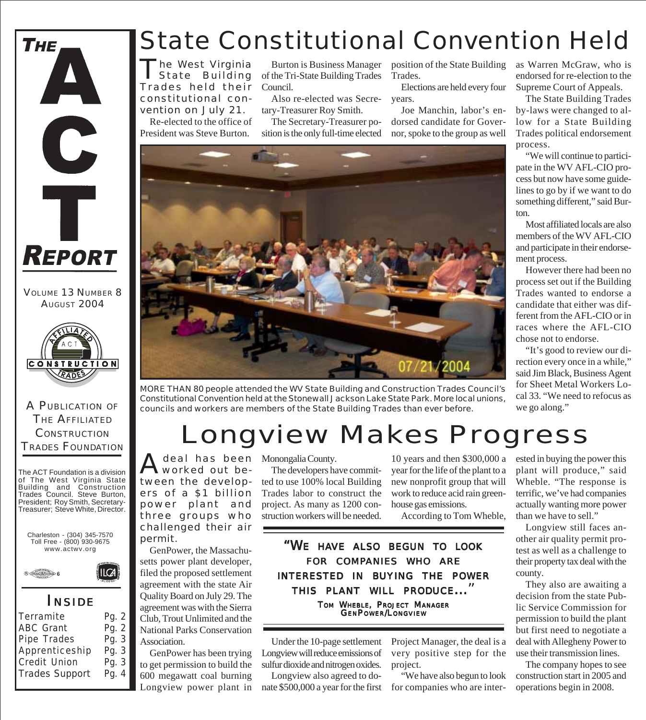

VOLUME 13 NUMBER 8 AUGUST 2004



A PUBLICATION OF THE AFFILIATED **CONSTRUCTION** TRADES FOUNDATION

The ACT Foundation is a division of The West Virginia State Building and Construction Trades Council. Steve Burton, President; Roy Smith, Secretary-Treasurer; Steve White, Director.





#### *I NSIDE*

| Terramite             | Pg. 2 |
|-----------------------|-------|
| <b>ABC Grant</b>      | Pg. 2 |
| Pipe Trades           | Pg. 3 |
| Apprenticeship        | Pg. 3 |
| Credit Union          | Pg. 3 |
| <b>Trades Support</b> | Pg. 4 |
|                       |       |

### State Constitutional Convention Held

he West Virginia State Building Trades held their constitutional convention on July 21.

Re-elected to the office of President was Steve Burton.

Burton is Business Manager of the Tri-State Building Trades Council.

Also re-elected was Secretary-Treasurer Roy Smith.

The Secretary-Treasurer position is the only full-time elected position of the State Building Trades.

Elections are held every four years.

Joe Manchin, labor's endorsed candidate for Governor, spoke to the group as well



MORE THAN 80 people attended the WV State Building and Construction Trades Council's Constitutional Convention held at the Stonewall Jackson Lake State Park. More local unions, councils and workers are members of the State Building Trades than ever before.

# Longview Makes Progress

A deal has been Monongalia County.<br>
Worked out be-<br>
The developers has worked out between the developers of a \$1 billion power plant and three groups who challenged their air permit.

GenPower, the Massachusetts power plant developer, filed the proposed settlement agreement with the state Air Quality Board on July 29. The agreement was with the Sierra Club, Trout Unlimited and the National Parks Conservation Association.

GenPower has been trying to get permission to build the 600 megawatt coal burning Longview power plant in

The developers have committed to use 100% local Building Trades labor to construct the project. As many as 1200 construction workers will be needed.

10 years and then \$300,000 a year for the life of the plant to a new nonprofit group that will work to reduce acid rain greenhouse gas emissions.

According to Tom Wheble,

*"WE HAVE ALSO BEGUN TO LOOK FOR COMPANIES WHO ARE INTERESTED IN BUYING THE POWER THIS PLANT WILL PRODUCE..."* TOM WHEBLE, PROJECT MANAGER GENPOWER/LONGVIEW

Under the 10-page settlement Longview will reduce emissions of sulfur dioxide and nitrogen oxides.

Longview also agreed to donate \$500,000 a year for the first

Project Manager, the deal is a very positive step for the project.

"We have also begun to look for companies who are interas Warren McGraw, who is endorsed for re-election to the Supreme Court of Appeals.

The State Building Trades by-laws were changed to allow for a State Building Trades political endorsement process.

"We will continue to participate in the WV AFL-CIO process but now have some guidelines to go by if we want to do something different," said Burton.

Most affiliated locals are also members of the WV AFL-CIO and participate in their endorsement process.

However there had been no process set out if the Building Trades wanted to endorse a candidate that either was different from the AFL-CIO or in races where the AFL-CIO chose not to endorse.

"It's good to review our direction every once in a while," said Jim Black, Business Agent for Sheet Metal Workers Local 33. "We need to refocus as we go along."

ested in buying the power this plant will produce," said Wheble. "The response is terrific, we've had companies actually wanting more power than we have to sell."

Longview still faces another air quality permit protest as well as a challenge to their property tax deal with the county.

They also are awaiting a decision from the state Public Service Commission for permission to build the plant but first need to negotiate a deal with Allegheny Power to use their transmission lines.

The company hopes to see construction start in 2005 and operations begin in 2008.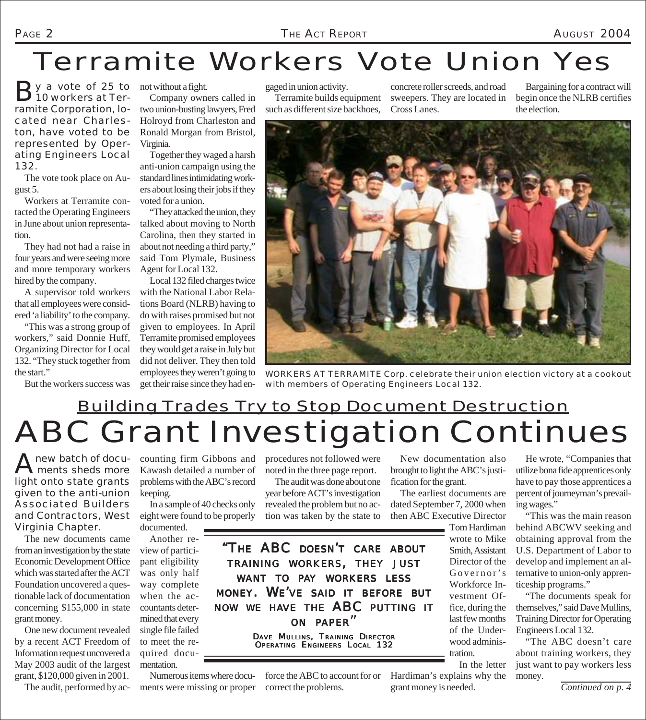## Terramite Workers Vote Union Yes

By a vote of 25 to<br>
10 workers at Terramite Corporation, located near Charleston, have voted to be represented by Operating Engineers Local 132.  $\rightarrow$  y a vote of 25 to not without a fight.

The vote took place on August 5.

Workers at Terramite contacted the Operating Engineers in June about union representation.

They had not had a raise in four years and were seeing more and more temporary workers hired by the company.

A supervisor told workers that all employees were considered 'a liability' to the company.

"This was a strong group of workers," said Donnie Huff, Organizing Director for Local 132. "They stuck together from the start."

But the workers success was

Company owners called in two union-busting lawyers, Fred Holroyd from Charleston and Ronald Morgan from Bristol, Virginia.

Together they waged a harsh anti-union campaign using the standard lines intimidating workers about losing their jobs if they voted for a union.

"They attacked the union, they talked about moving to North Carolina, then they started in about not needing a third party," said Tom Plymale, Business Agent for Local 132.

Local 132 filed charges twice with the National Labor Relations Board (NLRB) having to do with raises promised but not given to employees. In April Terramite promised employees they would get a raise in July but did not deliver. They then told employees they weren't going to get their raise since they had en-

gaged in union activity.

Terramite builds equipment such as different size backhoes,

concrete roller screeds, and road sweepers. They are located in Cross Lanes.

Bargaining for a contract will begin once the NLRB certifies the election.



WORKERS AT TERRAMITE Corp. celebrate their union election victory at a cookout with members of Operating Engineers Local 132.

## ABC Grant Investigation Continues Building Trades Try to Stop Document Destruction

A new batch of docu-<br>ments sheds more light onto state grants given to the anti-union Associated Builders and Contractors, West Virginia Chapter.

The new documents came from an investigation by the state Economic Development Office which was started after the ACT Foundation uncovered a questionable lack of documentation concerning \$155,000 in state grant money.

One new document revealed by a recent ACT Freedom of Information request uncovered a May 2003 audit of the largest grant, \$120,000 given in 2001.

The audit, performed by ac-

counting firm Gibbons and Kawash detailed a number of problems with the ABC's record keeping.

In a sample of 40 checks only eight were found to be properly documented.

Another re-

view of participant eligibility was only half way complete when the accountants determined that every single file failed to meet the required documentation.

Numerous items where docu- force the ABC to account for or Hardiman's explains why the ments were missing or proper correct the problems.

procedures not followed were noted in the three page report.

The audit was done about one year before ACT's investigation revealed the problem but no action was taken by the state to

New documentation also brought to light the ABC's justification for the grant.

The earliest documents are dated September 7, 2000 when then ABC Executive Director

> Tom Hardiman wrote to Mike Smith, Assistant Director of the Governor's Workforce Investment Office, during the last few months of the Underwood administration.

In the letter grant money is needed.

He wrote, "Companies that utilize bona fide apprentices only have to pay those apprentices a percent of journeyman's prevailing wages."

"This was the main reason behind ABCWV seeking and obtaining approval from the U.S. Department of Labor to develop and implement an alternative to union-only apprenticeship programs."

"The documents speak for themselves," said Dave Mullins, Training Director for Operating Engineers Local 132.

"The ABC doesn't care about training workers, they just want to pay workers less money.

*Continued on p. 4*

*"THE ABC DOESN'T CARE ABOUT TRAINING WORKERS, THEY JUST WANT TO PAY WORKERS LESS MONEY. WE'VE SAID IT BEFORE BUT NOW WE HAVE THE ABC PUTTING IT ON PAPER"*

> DAVE MULLINS, TRAINING DIRECTOR OPERATING ENGINEERS LOCAL 132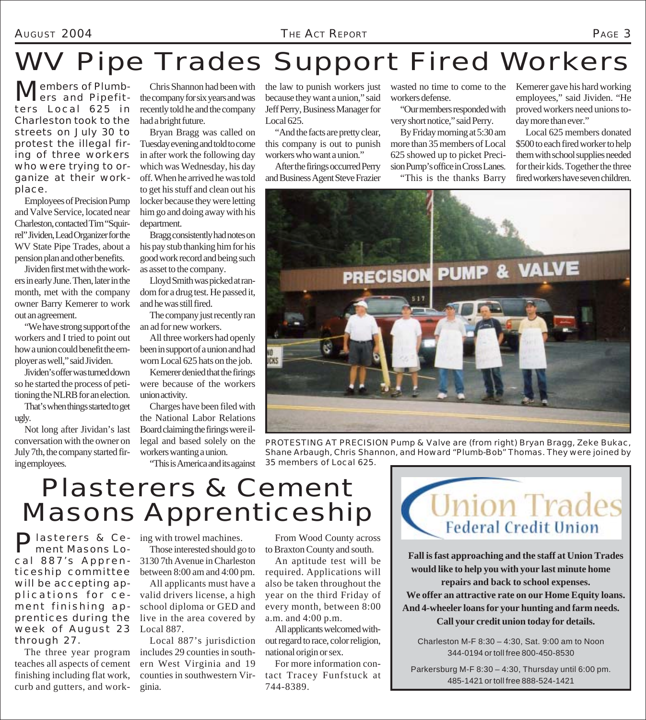AUGUST 2004 *THE ACT REPORT* PAGE 3

# WV Pipe Trades Support Fired Workers

**Members of Plumb-**<br>ers and Pipefitters Local 625 in Charleston took to the streets on July 30 to protest the illegal firing of three workers who were trying to organize at their workplace.

Employees of Precision Pump and Valve Service, located near Charleston, contacted Tim "Squirrel" Jividen, Lead Organizer for the WV State Pipe Trades, about a pension plan and other benefits.

Jividen first met with the workers in early June. Then, later in the month, met with the company owner Barry Kemerer to work out an agreement.

"We have strong support of the workers and I tried to point out how a union could benefit the employer as well," said Jividen.

Jividen's offer was turned down so he started the process of petitioning the NLRB for an election.

That's when things started to get ugly.

Not long after Jividan's last conversation with the owner on July 7th, the company started firing employees.

Chris Shannon had been with the company for six years and was recently told he and the company had a bright future.

Bryan Bragg was called on Tuesday evening and told to come in after work the following day which was Wednesday, his day off. When he arrived he was told to get his stuff and clean out his locker because they were letting him go and doing away with his department.

Bragg consistently had notes on his pay stub thanking him for his good work record and being such as asset to the company.

Lloyd Smith was picked at random for a drug test. He passed it, and he was still fired.

The company just recently ran an ad for new workers.

All three workers had openly been in support of a union and had worn Local 625 hats on the job.

Kemerer denied that the firings were because of the workers union activity.

Charges have been filed with the National Labor Relations Board claiming the firings were illegal and based solely on the workers wanting a union.

"This is America and its against

the law to punish workers just because they want a union," said Jeff Perry, Business Manager for Local 625.

"And the facts are pretty clear, this company is out to punish workers who want a union."

After the firings occurred Perry and Business Agent Steve Frazier

wasted no time to come to the workers defense.

"Our members responded with very short notice," said Perry.

By Friday morning at 5:30 am more than 35 members of Local 625 showed up to picket Precision Pump's office in Cross Lanes.

"This is the thanks Barry

Kemerer gave his hard working employees," said Jividen. "He proved workers need unions today more than ever."

Local 625 members donated \$500 to each fired worker to help them with school supplies needed for their kids. Together the three fired workers have seven children.



PROTESTING AT PRECISION Pump & Valve are (from right) Bryan Bragg, Zeke Bukac, Shane Arbaugh, Chris Shannon, and Howard "Plumb-Bob" Thomas. They were joined by 35 members of Local 625.

# Plasterers & Cement Masons Apprenticeship

Plasterers & Ce- ing with trowel machines.<br>
ment Masons Lo- Those interested should go ment Masons Local 887's Apprenticeship committee will be accepting applications for cement finishing apprentices during the week of August 23 through 27.

The three year program teaches all aspects of cement finishing including flat work, curb and gutters, and work-

Those interested should go to 3130 7th Avenue in Charleston between 8:00 am and 4:00 pm.

All applicants must have a valid drivers license, a high school diploma or GED and live in the area covered by Local 887.

Local 887's jurisdiction includes 29 counties in southern West Virginia and 19 counties in southwestern Virginia.

From Wood County across to Braxton County and south.

An aptitude test will be required. Applications will also be taken throughout the year on the third Friday of every month, between 8:00 a.m. and 4:00 p.m.

All applicants welcomed without regard to race, color religion, national origin or sex.

For more information contact Tracey Funfstuck at 744-8389.



**Fall is fast approaching and the staff at Union Trades would like to help you with your last minute home repairs and back to school expenses. We offer an attractive rate on our Home Equity loans. And 4-wheeler loans for your hunting and farm needs. Call your credit union today for details.**

Charleston M-F 8:30 – 4:30, Sat. 9:00 am to Noon 344-0194 or toll free 800-450-8530

Parkersburg M-F 8:30 – 4:30, Thursday until 6:00 pm. 485-1421 or toll free 888-524-1421